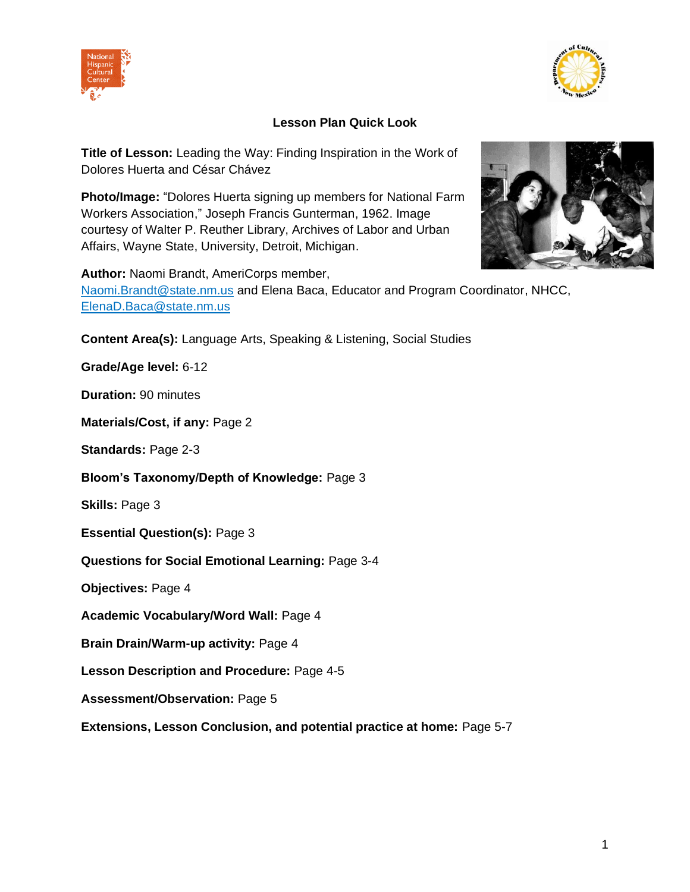



## **Lesson Plan Quick Look**

**Title of Lesson:** Leading the Way: Finding Inspiration in the Work of Dolores Huerta and César Chávez

**Photo/Image:** "Dolores Huerta signing up members for National Farm Workers Association," Joseph Francis Gunterman, 1962. Image courtesy of Walter P. Reuther Library, Archives of Labor and Urban Affairs, Wayne State, University, Detroit, Michigan.

**Author:** Naomi Brandt, AmeriCorps member, [Naomi.Brandt@state.nm.us](mailto:Naomi.Brandt@state.nm.us) and Elena Baca, Educator and Program Coordinator, NHCC, [ElenaD.Baca@state.nm.us](mailto:ElenaD.Baca@state.nm.us)

**Content Area(s):** Language Arts, Speaking & Listening, Social Studies

**Grade/Age level:** 6-12

**Duration:** 90 minutes

**Materials/Cost, if any:** Page 2

**Standards:** Page 2-3

**Bloom's Taxonomy/Depth of Knowledge:** Page 3

**Skills:** Page 3

**Essential Question(s):** Page 3

**Questions for Social Emotional Learning:** Page 3-4

**Objectives:** Page 4

**Academic Vocabulary/Word Wall:** Page 4

**Brain Drain/Warm-up activity:** Page 4

**Lesson Description and Procedure:** Page 4-5

**Assessment/Observation:** Page 5

**Extensions, Lesson Conclusion, and potential practice at home:** Page 5-7

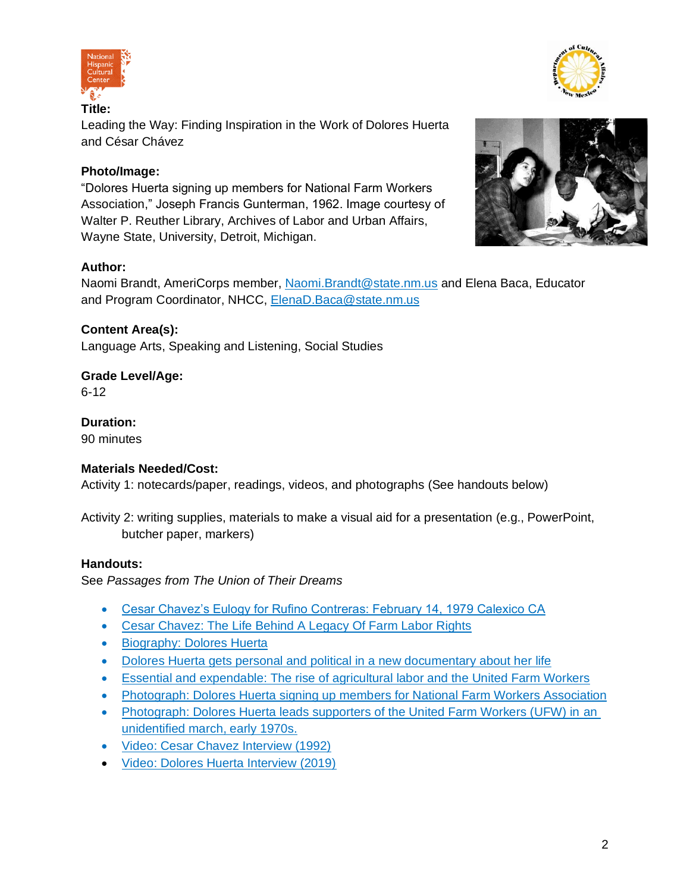



Leading the Way: Finding Inspiration in the Work of Dolores Huerta and César Chávez

## **Photo/Image:**

"Dolores Huerta signing up members for National Farm Workers Association," Joseph Francis Gunterman, 1962. Image courtesy of Walter P. Reuther Library, Archives of Labor and Urban Affairs, Wayne State, University, Detroit, Michigan.

## **Author:**

Naomi Brandt, AmeriCorps member, [Naomi.Brandt@state.nm.us](mailto:Naomi.Brandt@state.nm.us) and Elena Baca, Educator and Program Coordinator, NHCC, [ElenaD.Baca@state.nm.us](mailto:ElenaD.Baca@state.nm.us)

**Content Area(s):**  Language Arts, Speaking and Listening, Social Studies

# **Grade Level/Age:**

6-12

## **Duration:**

90 minutes

#### **Materials Needed/Cost:**

Activity 1: notecards/paper, readings, videos, and photographs (See handouts below)

Activity 2: writing supplies, materials to make a visual aid for a presentation (e.g., PowerPoint, butcher paper, markers)

#### **Handouts:**

See *Passages from The Union of Their Dreams*

- [Cesar Chavez's Eulogy for Rufino Contreras: February 14, 1979 Calexico CA](https://ufw.org/cesar-chavezs-eulogy-rufino-contreras-february-14-1979-calexico-ca-2/)
- [Cesar Chavez: The Life Behind A Legacy Of Farm Labor Rights](https://www.npr.org/2016/08/02/488428577/cesar-chavez-the-life-behind-a-legacy-of-farm-labor-rights)
- [Biography: Dolores Huerta](http://doloreshuerta.org/doloreshuerta/)
- [Dolores Huerta gets personal and political in a new documentary about her life](https://archive.kpcc.org/news/2017/09/15/75651/dolores-huerta-gets-personal-and-political-in-a-ne/)
- [Essential and expendable: The rise of agricultural labor and the United Farm Workers](https://americanhistory.si.edu/blog/essential-and-expendable)
- [Photograph: Dolores Huerta signing up members for National Farm Workers Association](https://www.si.edu/newsdesk/photos/dolores-huerta-signing-members-national-farm-workers-association)
- [Photograph: Dolores Huerta leads supporters of the United Farm Workers \(UFW\) in](https://www.si.edu/newsdesk/photos/dolores-huerta-leads-supporters-united-farm-workers-ufw-unidentified-march-early) an [unidentified march, early 1970s.](https://www.si.edu/newsdesk/photos/dolores-huerta-leads-supporters-united-farm-workers-ufw-unidentified-march-early)
- [Video: Cesar Chavez Interview \(1992\)](https://youtu.be/HWOFShsD_pU)
- [Video: Dolores Huerta Interview \(2019\)](https://youtu.be/36FYxLYY2gc)

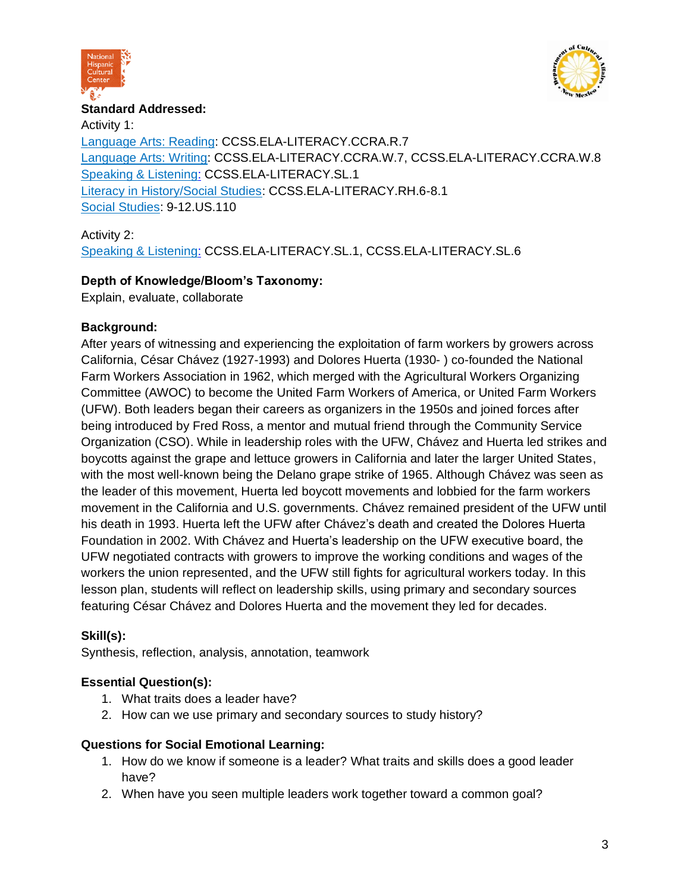



#### **Standard Addressed:**

Activity 1:

[Language Arts: Reading:](http://www.corestandards.org/ELA-Literacy/CCRA/R/) CCSS.ELA-LITERACY.CCRA.R.7 [Language Arts: Writing:](http://www.corestandards.org/ELA-Literacy/W/introduction/) CCSS.ELA-LITERACY.CCRA.W.7, CCSS.ELA-LITERACY.CCRA.W.8 [Speaking & Listening:](http://www.corestandards.org/ELA-Literacy/SL/introduction-for-6-12/) CCSS.ELA-LITERACY.SL.1 [Literacy in History/Social Studies:](http://www.corestandards.org/ELA-Literacy/RH/11-12/) CCSS.ELA-LITERACY.RH.6-8.1 [Social Studies:](https://webnew.ped.state.nm.us/wp-content/uploads/2022/02/NM-Standards-508.pdf) 9-12.US.110

Activity 2: [Speaking & Listening:](http://www.corestandards.org/ELA-Literacy/SL/introduction-for-6-12/) CCSS.ELA-LITERACY.SL.1, CCSS.ELA-LITERACY.SL.6

## **Depth of Knowledge/Bloom's Taxonomy:**

Explain, evaluate, collaborate

## **Background:**

After years of witnessing and experiencing the exploitation of farm workers by growers across California, César Chávez (1927-1993) and Dolores Huerta (1930- ) co-founded the National Farm Workers Association in 1962, which merged with the Agricultural Workers Organizing Committee (AWOC) to become the United Farm Workers of America, or United Farm Workers (UFW). Both leaders began their careers as organizers in the 1950s and joined forces after being introduced by Fred Ross, a mentor and mutual friend through the Community Service Organization (CSO). While in leadership roles with the UFW, Chávez and Huerta led strikes and boycotts against the grape and lettuce growers in California and later the larger United States, with the most well-known being the Delano grape strike of 1965. Although Chávez was seen as the leader of this movement, Huerta led boycott movements and lobbied for the farm workers movement in the California and U.S. governments. Chávez remained president of the UFW until his death in 1993. Huerta left the UFW after Chávez's death and created the Dolores Huerta Foundation in 2002. With Chávez and Huerta's leadership on the UFW executive board, the UFW negotiated contracts with growers to improve the working conditions and wages of the workers the union represented, and the UFW still fights for agricultural workers today. In this lesson plan, students will reflect on leadership skills, using primary and secondary sources featuring César Chávez and Dolores Huerta and the movement they led for decades.

# **Skill(s):**

Synthesis, reflection, analysis, annotation, teamwork

# **Essential Question(s):**

- 1. What traits does a leader have?
- 2. How can we use primary and secondary sources to study history?

#### **Questions for Social Emotional Learning:**

- 1. How do we know if someone is a leader? What traits and skills does a good leader have?
- 2. When have you seen multiple leaders work together toward a common goal?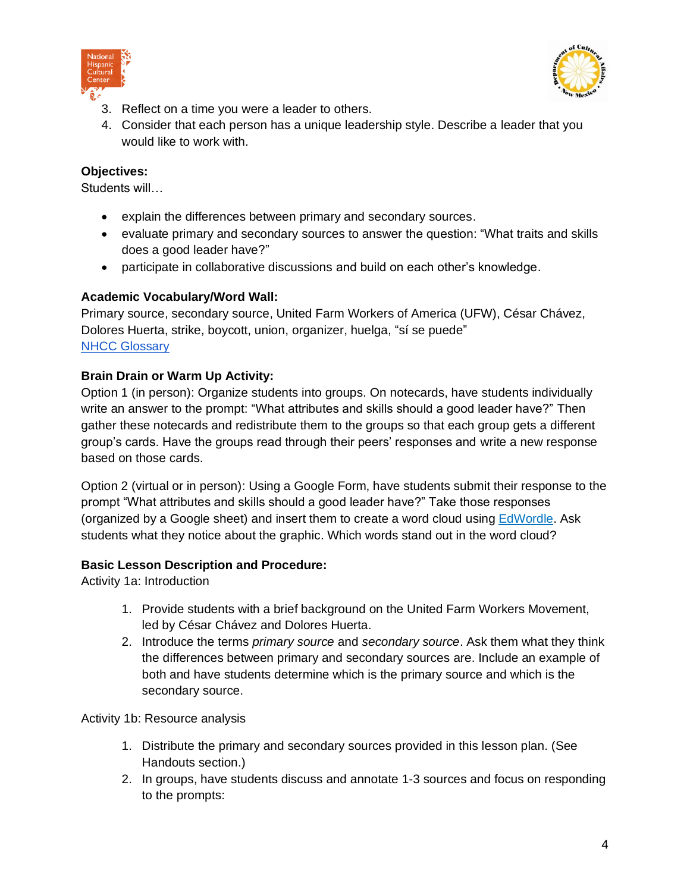



- 3. Reflect on a time you were a leader to others.
- 4. Consider that each person has a unique leadership style. Describe a leader that you would like to work with.

## **Objectives:**

Students will…

- explain the differences between primary and secondary sources.
- evaluate primary and secondary sources to answer the question: "What traits and skills does a good leader have?"
- participate in collaborative discussions and build on each other's knowledge.

## **Academic Vocabulary/Word Wall:**

Primary source, secondary source, United Farm Workers of America (UFW), César Chávez, Dolores Huerta, strike, boycott, union, organizer, huelga, "sí se puede" **[NHCC Glossary](https://docs.google.com/spreadsheets/d/12x0T-xe2Q0OqHu4xrq7E18O_v9sMgC336NW66EknVLs/edit#gid=0)** 

## **Brain Drain or Warm Up Activity:**

Option 1 (in person): Organize students into groups. On notecards, have students individually write an answer to the prompt: "What attributes and skills should a good leader have?" Then gather these notecards and redistribute them to the groups so that each group gets a different group's cards. Have the groups read through their peers' responses and write a new response based on those cards.

Option 2 (virtual or in person): Using a Google Form, have students submit their response to the prompt "What attributes and skills should a good leader have?" Take those responses (organized by a Google sheet) and insert them to create a word cloud using [EdWordle.](https://www.edwordle.net/) Ask students what they notice about the graphic. Which words stand out in the word cloud?

#### **Basic Lesson Description and Procedure:**

Activity 1a: Introduction

- 1. Provide students with a brief background on the United Farm Workers Movement, led by César Chávez and Dolores Huerta.
- 2. Introduce the terms *primary source* and *secondary source*. Ask them what they think the differences between primary and secondary sources are. Include an example of both and have students determine which is the primary source and which is the secondary source.

#### Activity 1b: Resource analysis

- 1. Distribute the primary and secondary sources provided in this lesson plan. (See Handouts section.)
- 2. In groups, have students discuss and annotate 1-3 sources and focus on responding to the prompts: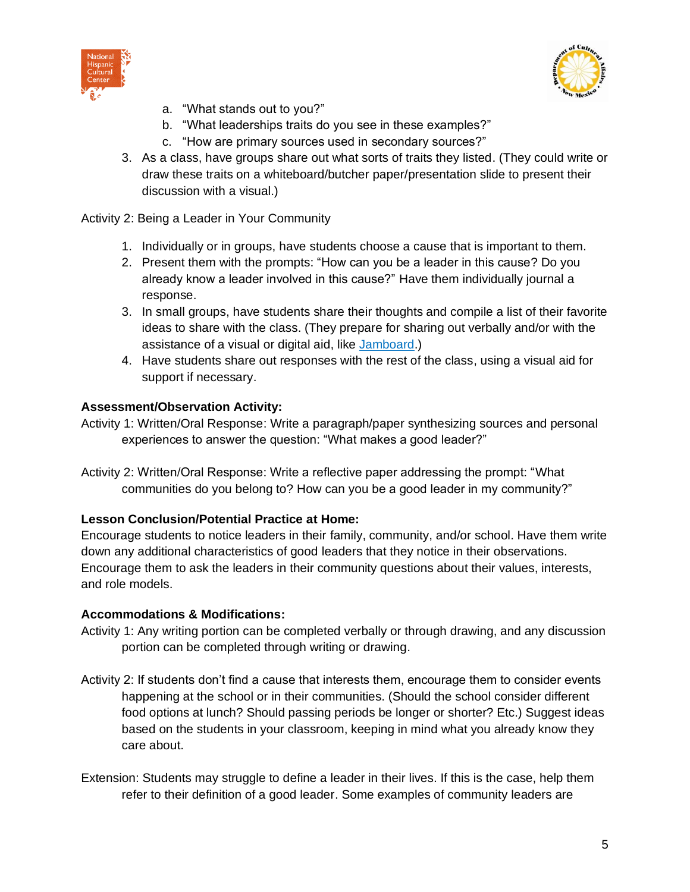



- a. "What stands out to you?"
- b. "What leaderships traits do you see in these examples?"
- c. "How are primary sources used in secondary sources?"
- 3. As a class, have groups share out what sorts of traits they listed. (They could write or draw these traits on a whiteboard/butcher paper/presentation slide to present their discussion with a visual.)

Activity 2: Being a Leader in Your Community

- 1. Individually or in groups, have students choose a cause that is important to them.
- 2. Present them with the prompts: "How can you be a leader in this cause? Do you already know a leader involved in this cause?" Have them individually journal a response.
- 3. In small groups, have students share their thoughts and compile a list of their favorite ideas to share with the class. (They prepare for sharing out verbally and/or with the assistance of a visual or digital aid, like [Jamboard.](https://jamboard.google.com/))
- 4. Have students share out responses with the rest of the class, using a visual aid for support if necessary.

# **Assessment/Observation Activity:**

Activity 1: Written/Oral Response: Write a paragraph/paper synthesizing sources and personal experiences to answer the question: "What makes a good leader?"

Activity 2: Written/Oral Response: Write a reflective paper addressing the prompt: "What communities do you belong to? How can you be a good leader in my community?"

# **Lesson Conclusion/Potential Practice at Home:**

Encourage students to notice leaders in their family, community, and/or school. Have them write down any additional characteristics of good leaders that they notice in their observations. Encourage them to ask the leaders in their community questions about their values, interests, and role models.

## **Accommodations & Modifications:**

- Activity 1: Any writing portion can be completed verbally or through drawing, and any discussion portion can be completed through writing or drawing.
- Activity 2: If students don't find a cause that interests them, encourage them to consider events happening at the school or in their communities. (Should the school consider different food options at lunch? Should passing periods be longer or shorter? Etc.) Suggest ideas based on the students in your classroom, keeping in mind what you already know they care about.
- Extension: Students may struggle to define a leader in their lives. If this is the case, help them refer to their definition of a good leader. Some examples of community leaders are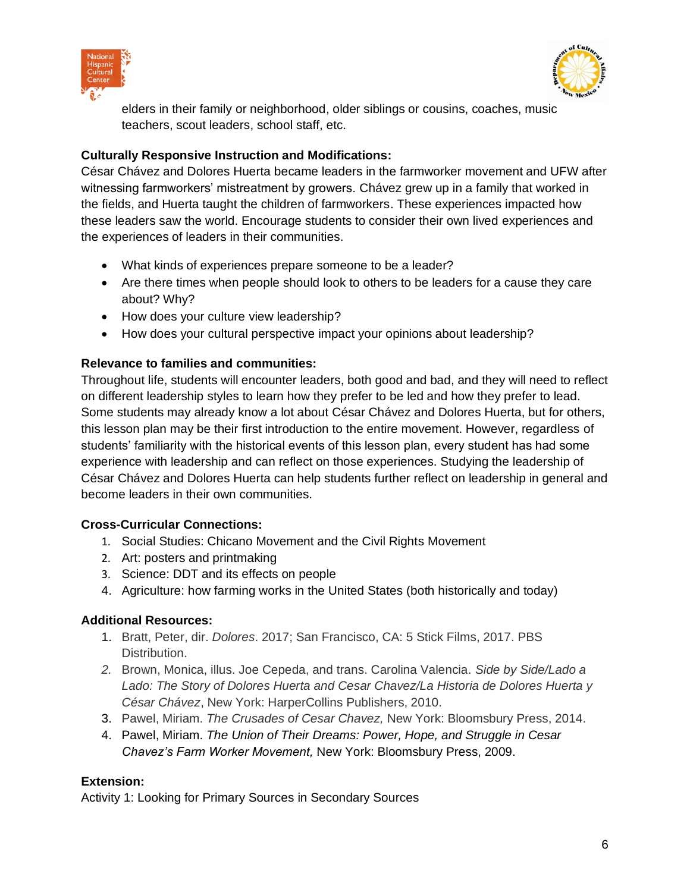



elders in their family or neighborhood, older siblings or cousins, coaches, music teachers, scout leaders, school staff, etc.

# **Culturally Responsive Instruction and Modifications:**

César Chávez and Dolores Huerta became leaders in the farmworker movement and UFW after witnessing farmworkers' mistreatment by growers. Chávez grew up in a family that worked in the fields, and Huerta taught the children of farmworkers. These experiences impacted how these leaders saw the world. Encourage students to consider their own lived experiences and the experiences of leaders in their communities.

- What kinds of experiences prepare someone to be a leader?
- Are there times when people should look to others to be leaders for a cause they care about? Why?
- How does your culture view leadership?
- How does your cultural perspective impact your opinions about leadership?

# **Relevance to families and communities:**

Throughout life, students will encounter leaders, both good and bad, and they will need to reflect on different leadership styles to learn how they prefer to be led and how they prefer to lead. Some students may already know a lot about César Chávez and Dolores Huerta, but for others, this lesson plan may be their first introduction to the entire movement. However, regardless of students' familiarity with the historical events of this lesson plan, every student has had some experience with leadership and can reflect on those experiences. Studying the leadership of César Chávez and Dolores Huerta can help students further reflect on leadership in general and become leaders in their own communities.

# **Cross-Curricular Connections:**

- 1. Social Studies: Chicano Movement and the Civil Rights Movement
- 2. Art: posters and printmaking
- 3. Science: DDT and its effects on people
- 4. Agriculture: how farming works in the United States (both historically and today)

# **Additional Resources:**

- 1. Bratt, Peter, dir. *Dolores*. 2017; San Francisco, CA: 5 Stick Films, 2017. PBS Distribution.
- *2.* Brown, Monica, illus. Joe Cepeda, and trans. Carolina Valencia. *Side by Side/Lado a Lado: The Story of Dolores Huerta and Cesar Chavez/La Historia de Dolores Huerta y César Chávez*, New York: HarperCollins Publishers, 2010.
- 3. Pawel, Miriam. *The Crusades of Cesar Chavez,* New York: Bloomsbury Press, 2014.
- 4. Pawel, Miriam. *The Union of Their Dreams: Power, Hope, and Struggle in Cesar Chavez's Farm Worker Movement,* New York: Bloomsbury Press, 2009.

# **Extension:**

Activity 1: Looking for Primary Sources in Secondary Sources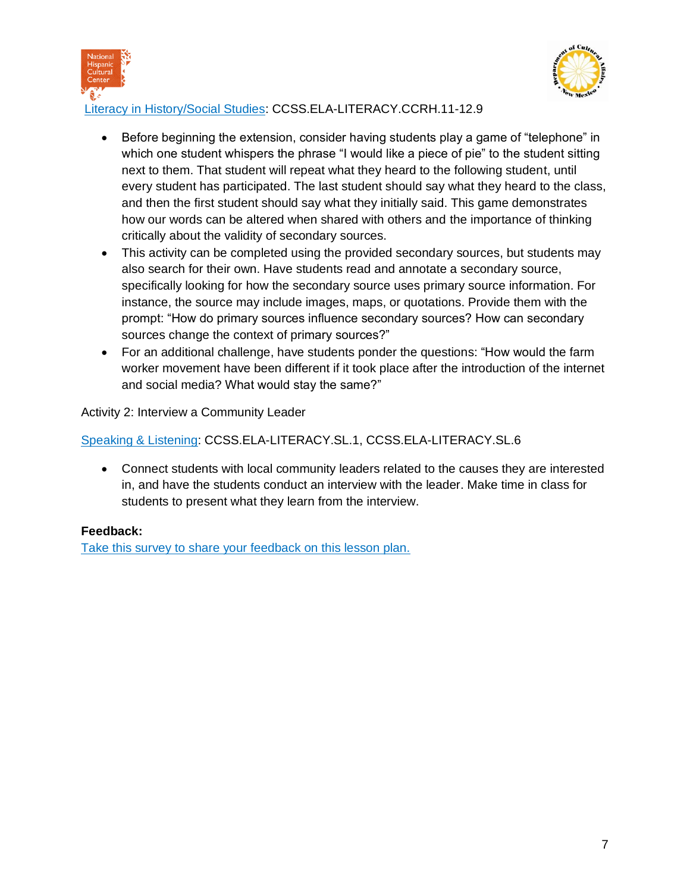

# [Literacy in History/Social Studies:](http://www.corestandards.org/ELA-Literacy/RH/11-12/) CCSS.ELA-LITERACY.CCRH.11-12.9

- Before beginning the extension, consider having students play a game of "telephone" in which one student whispers the phrase "I would like a piece of pie" to the student sitting next to them. That student will repeat what they heard to the following student, until every student has participated. The last student should say what they heard to the class, and then the first student should say what they initially said. This game demonstrates how our words can be altered when shared with others and the importance of thinking critically about the validity of secondary sources.
- This activity can be completed using the provided secondary sources, but students may also search for their own. Have students read and annotate a secondary source, specifically looking for how the secondary source uses primary source information. For instance, the source may include images, maps, or quotations. Provide them with the prompt: "How do primary sources influence secondary sources? How can secondary sources change the context of primary sources?"
- For an additional challenge, have students ponder the questions: "How would the farm worker movement have been different if it took place after the introduction of the internet and social media? What would stay the same?"

Activity 2: Interview a Community Leader

[Speaking & Listening:](http://www.corestandards.org/ELA-Literacy/SL/introduction-for-6-12/) CCSS.ELA-LITERACY.SL.1, CCSS.ELA-LITERACY.SL.6

• Connect students with local community leaders related to the causes they are interested in, and have the students conduct an interview with the leader. Make time in class for students to present what they learn from the interview.

#### **Feedback:**

[Take this survey to share your feedback on this lesson plan.](https://nhccnm.wufoo.com/forms/z7idh351ij4876/)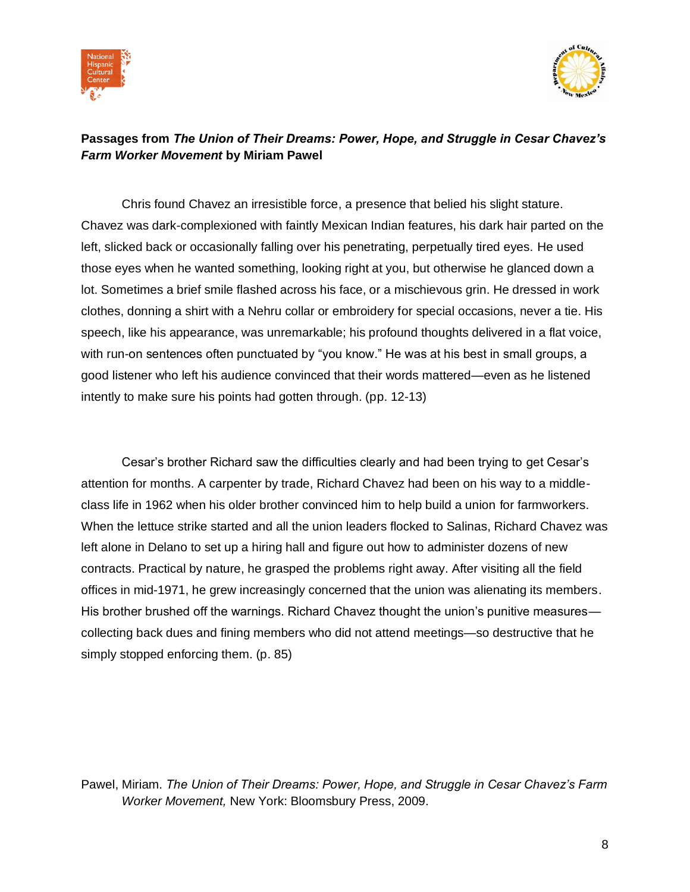



# **Passages from** *The Union of Their Dreams: Power, Hope, and Struggle in Cesar Chavez's Farm Worker Movement* **by Miriam Pawel**

Chris found Chavez an irresistible force, a presence that belied his slight stature. Chavez was dark-complexioned with faintly Mexican Indian features, his dark hair parted on the left, slicked back or occasionally falling over his penetrating, perpetually tired eyes. He used those eyes when he wanted something, looking right at you, but otherwise he glanced down a lot. Sometimes a brief smile flashed across his face, or a mischievous grin. He dressed in work clothes, donning a shirt with a Nehru collar or embroidery for special occasions, never a tie. His speech, like his appearance, was unremarkable; his profound thoughts delivered in a flat voice, with run-on sentences often punctuated by "you know." He was at his best in small groups, a good listener who left his audience convinced that their words mattered—even as he listened intently to make sure his points had gotten through. (pp. 12-13)

Cesar's brother Richard saw the difficulties clearly and had been trying to get Cesar's attention for months. A carpenter by trade, Richard Chavez had been on his way to a middleclass life in 1962 when his older brother convinced him to help build a union for farmworkers. When the lettuce strike started and all the union leaders flocked to Salinas, Richard Chavez was left alone in Delano to set up a hiring hall and figure out how to administer dozens of new contracts. Practical by nature, he grasped the problems right away. After visiting all the field offices in mid-1971, he grew increasingly concerned that the union was alienating its members. His brother brushed off the warnings. Richard Chavez thought the union's punitive measures collecting back dues and fining members who did not attend meetings—so destructive that he simply stopped enforcing them. (p. 85)

Pawel, Miriam. *The Union of Their Dreams: Power, Hope, and Struggle in Cesar Chavez's Farm Worker Movement,* New York: Bloomsbury Press, 2009.